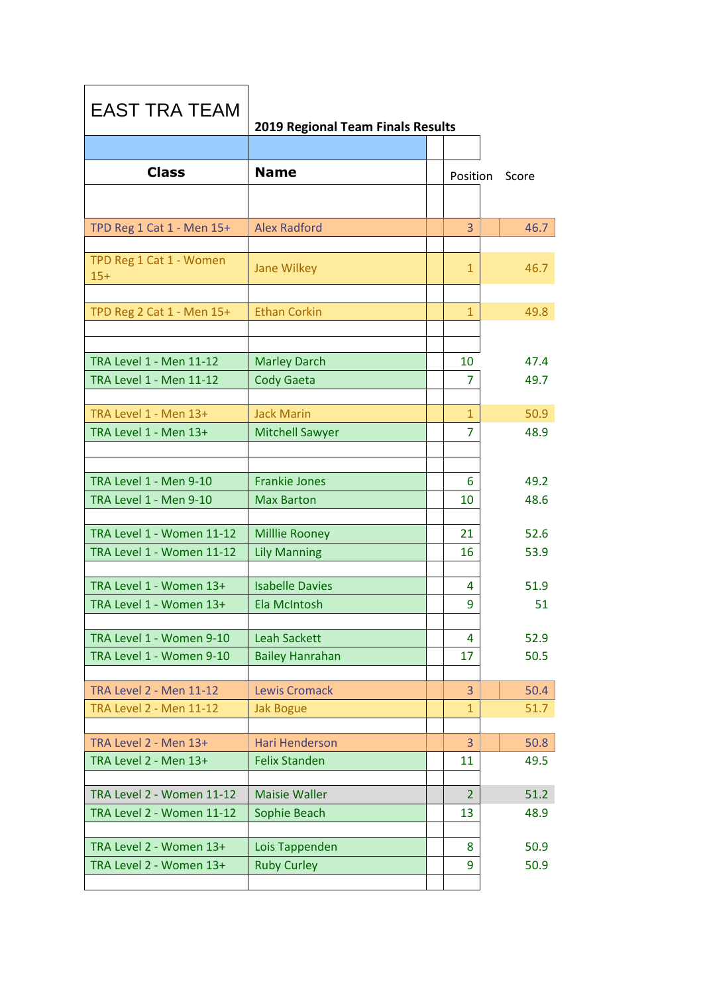| <b>EAST TRA TEAM</b>             | 2019 Regional Team Finals Results |                |       |
|----------------------------------|-----------------------------------|----------------|-------|
|                                  |                                   |                |       |
| <b>Class</b>                     | <b>Name</b>                       | Position       | Score |
|                                  |                                   |                |       |
| TPD Reg 1 Cat 1 - Men 15+        | <b>Alex Radford</b>               | 3              | 46.7  |
|                                  |                                   |                |       |
| TPD Reg 1 Cat 1 - Women<br>$15+$ | <b>Jane Wilkey</b>                | $\mathbf{1}$   | 46.7  |
| TPD Reg 2 Cat 1 - Men 15+        | <b>Ethan Corkin</b>               | $\mathbf{1}$   | 49.8  |
|                                  |                                   |                |       |
|                                  |                                   |                |       |
| <b>TRA Level 1 - Men 11-12</b>   | <b>Marley Darch</b>               | 10             | 47.4  |
| <b>TRA Level 1 - Men 11-12</b>   | <b>Cody Gaeta</b>                 | 7              | 49.7  |
|                                  |                                   |                |       |
| TRA Level 1 - Men 13+            | <b>Jack Marin</b>                 | $\mathbf{1}$   | 50.9  |
| TRA Level 1 - Men 13+            | <b>Mitchell Sawyer</b>            | 7              | 48.9  |
|                                  |                                   |                |       |
| TRA Level 1 - Men 9-10           | <b>Frankie Jones</b>              | 6              | 49.2  |
| TRA Level 1 - Men 9-10           | <b>Max Barton</b>                 | 10             | 48.6  |
|                                  |                                   |                |       |
| TRA Level 1 - Women 11-12        | <b>Millie Rooney</b>              | 21             | 52.6  |
| TRA Level 1 - Women 11-12        | <b>Lily Manning</b>               | 16             | 53.9  |
|                                  |                                   |                |       |
| TRA Level 1 - Women 13+          | <b>Isabelle Davies</b>            | 4              | 51.9  |
| TRA Level 1 - Women 13+          | Ela McIntosh                      | 9              | 51    |
| TRA Level 1 - Women 9-10         | <b>Leah Sackett</b>               | 4              | 52.9  |
| TRA Level 1 - Women 9-10         | <b>Bailey Hanrahan</b>            | 17             | 50.5  |
|                                  |                                   |                |       |
| <b>TRA Level 2 - Men 11-12</b>   | <b>Lewis Cromack</b>              | 3              | 50.4  |
| <b>TRA Level 2 - Men 11-12</b>   | <b>Jak Bogue</b>                  | $\mathbf{1}$   | 51.7  |
|                                  |                                   |                |       |
| TRA Level 2 - Men 13+            | <b>Hari Henderson</b>             | 3              | 50.8  |
| TRA Level 2 - Men 13+            | <b>Felix Standen</b>              | 11             | 49.5  |
| TRA Level 2 - Women 11-12        | <b>Maisie Waller</b>              | $\overline{2}$ | 51.2  |
| TRA Level 2 - Women 11-12        | Sophie Beach                      | 13             | 48.9  |
|                                  |                                   |                |       |
| TRA Level 2 - Women 13+          | Lois Tappenden                    | 8              | 50.9  |
| TRA Level 2 - Women 13+          | <b>Ruby Curley</b>                | 9              | 50.9  |
|                                  |                                   |                |       |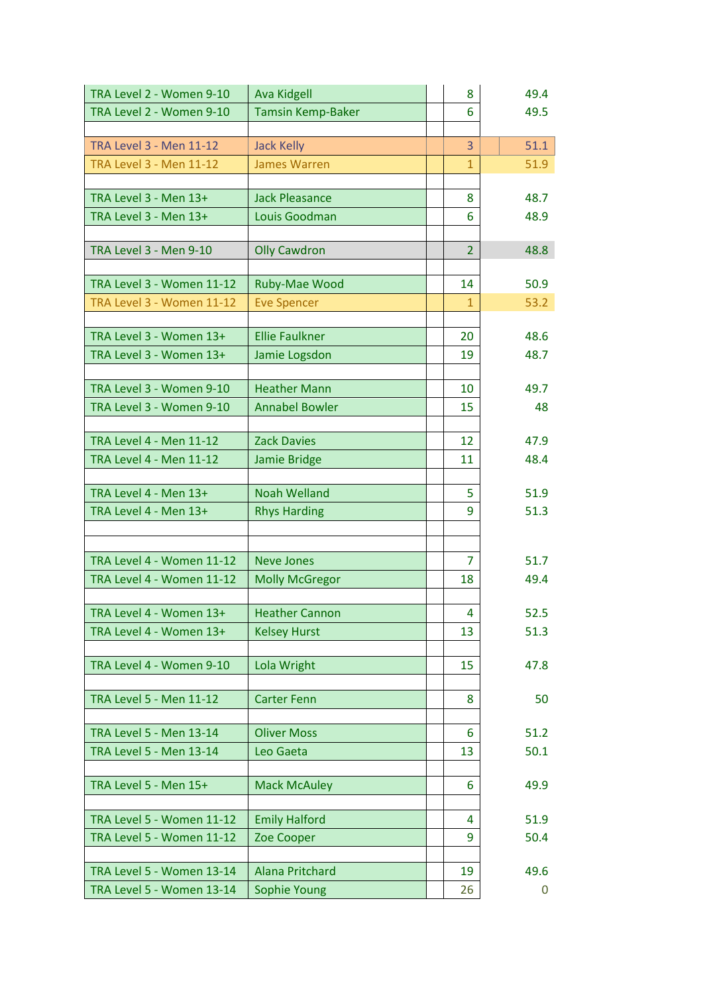| TRA Level 2 - Women 9-10         | <b>Ava Kidgell</b>       | 8              | 49.4 |
|----------------------------------|--------------------------|----------------|------|
| TRA Level 2 - Women 9-10         | <b>Tamsin Kemp-Baker</b> | 6              | 49.5 |
|                                  |                          |                |      |
| <b>TRA Level 3 - Men 11-12</b>   | <b>Jack Kelly</b>        | 3              | 51.1 |
| <b>TRA Level 3 - Men 11-12</b>   | <b>James Warren</b>      | $\mathbf{1}$   | 51.9 |
|                                  |                          |                |      |
| TRA Level 3 - Men 13+            | <b>Jack Pleasance</b>    | 8              | 48.7 |
| TRA Level 3 - Men 13+            | Louis Goodman            | 6              | 48.9 |
|                                  |                          |                |      |
| TRA Level 3 - Men 9-10           | <b>Olly Cawdron</b>      | $\overline{2}$ | 48.8 |
|                                  |                          |                |      |
| <b>TRA Level 3 - Women 11-12</b> | Ruby-Mae Wood            | 14             | 50.9 |
| <b>TRA Level 3 - Women 11-12</b> | <b>Eve Spencer</b>       | $\mathbf{1}$   | 53.2 |
|                                  |                          |                |      |
| TRA Level 3 - Women 13+          | <b>Ellie Faulkner</b>    | 20             | 48.6 |
| TRA Level 3 - Women 13+          | Jamie Logsdon            | 19             | 48.7 |
|                                  |                          |                |      |
| TRA Level 3 - Women 9-10         | <b>Heather Mann</b>      | 10             | 49.7 |
| TRA Level 3 - Women 9-10         | <b>Annabel Bowler</b>    | 15             | 48   |
|                                  |                          |                |      |
| <b>TRA Level 4 - Men 11-12</b>   | <b>Zack Davies</b>       | 12             | 47.9 |
| <b>TRA Level 4 - Men 11-12</b>   | Jamie Bridge             | 11             | 48.4 |
|                                  |                          |                |      |
| TRA Level 4 - Men 13+            | <b>Noah Welland</b>      | 5              | 51.9 |
| TRA Level 4 - Men 13+            | <b>Rhys Harding</b>      | 9              | 51.3 |
|                                  |                          |                |      |
|                                  |                          |                |      |
| TRA Level 4 - Women 11-12        | <b>Neve Jones</b>        | 7              | 51.7 |
| TRA Level 4 - Women 11-12        | <b>Molly McGregor</b>    | 18             | 49.4 |
|                                  |                          |                |      |
| TRA Level 4 - Women 13+          | <b>Heather Cannon</b>    | 4              | 52.5 |
| TRA Level 4 - Women 13+          | <b>Kelsey Hurst</b>      | 13             | 51.3 |
|                                  |                          |                |      |
| TRA Level 4 - Women 9-10         | Lola Wright              | 15             | 47.8 |
| TRA Level 5 - Men 11-12          | <b>Carter Fenn</b>       | 8              | 50   |
|                                  |                          |                |      |
| TRA Level 5 - Men 13-14          | <b>Oliver Moss</b>       | 6              | 51.2 |
| TRA Level 5 - Men 13-14          | Leo Gaeta                | 13             | 50.1 |
|                                  |                          |                |      |
| TRA Level 5 - Men 15+            | <b>Mack McAuley</b>      | 6              | 49.9 |
|                                  |                          |                |      |
| <b>TRA Level 5 - Women 11-12</b> | <b>Emily Halford</b>     | 4              | 51.9 |
| TRA Level 5 - Women 11-12        | Zoe Cooper               | 9              | 50.4 |
|                                  |                          |                |      |
| <b>TRA Level 5 - Women 13-14</b> | Alana Pritchard          | 19             | 49.6 |
| TRA Level 5 - Women 13-14        | Sophie Young             | 26             | 0    |
|                                  |                          |                |      |